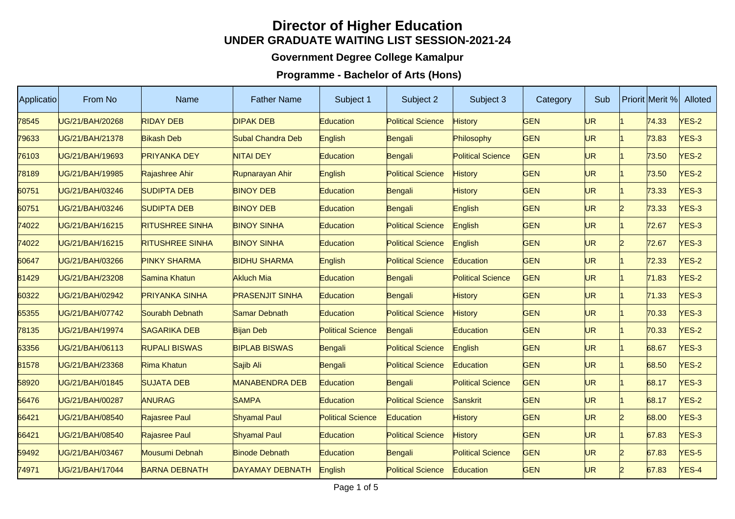## **Director of Higher EducationUNDER GRADUATE WAITING LIST SESSION-2021-24**

## **Government Degree College Kamalpur**

## **Programme - Bachelor of Arts (Hons)**

| Applicatio | From No                | Name                   | <b>Father Name</b>     | Subject 1                | Subject 2                | Subject 3                | Category   | Sub       |    | <b>Priorit Merit %</b> | Alloted      |
|------------|------------------------|------------------------|------------------------|--------------------------|--------------------------|--------------------------|------------|-----------|----|------------------------|--------------|
| 78545      | UG/21/BAH/20268        | <b>RIDAY DEB</b>       | <b>DIPAK DEB</b>       | Education                | <b>Political Science</b> | <b>History</b>           | <b>GEN</b> | UR        |    | 74.33                  | $VES-2$      |
| 79633      | UG/21/BAH/21378        | <b>Bikash Deb</b>      | Subal Chandra Deb      | English                  | Bengali                  | Philosophy               | <b>GEN</b> | <b>UR</b> |    | 73.83                  | YES-3        |
| 76103      | UG/21/BAH/19693        | <b>PRIYANKA DEY</b>    | <b>NITAI DEY</b>       | Education                | Bengali                  | <b>Political Science</b> | <b>GEN</b> | UR        |    | 73.50                  | <b>YES-2</b> |
| 78189      | UG/21/BAH/19985        | Rajashree Ahir         | Rupnarayan Ahir        | English                  | <b>Political Science</b> | <b>History</b>           | <b>GEN</b> | <b>UR</b> |    | 73.50                  | $VES-2$      |
| 60751      | UG/21/BAH/03246        | <b>SUDIPTA DEB</b>     | <b>BINOY DEB</b>       | Education                | Bengali                  | <b>History</b>           | <b>GEN</b> | <b>UR</b> |    | 73.33                  | YES-3        |
| 60751      | UG/21/BAH/03246        | SUDIPTA DEB            | <b>BINOY DEB</b>       | Education                | Bengali                  | English                  | <b>GEN</b> | UR        | 12 | 73.33                  | YES-3        |
| 74022      | UG/21/BAH/16215        | <b>RITUSHREE SINHA</b> | <b>BINOY SINHA</b>     | Education                | <b>Political Science</b> | English                  | <b>GEN</b> | <b>UR</b> |    | 72.67                  | YES-3        |
| 74022      | UG/21/BAH/16215        | <b>RITUSHREE SINHA</b> | <b>BINOY SINHA</b>     | Education                | <b>Political Science</b> | English                  | <b>GEN</b> | <b>UR</b> | D  | 72.67                  | YES-3        |
| 60647      | UG/21/BAH/03266        | <b>PINKY SHARMA</b>    | <b>BIDHU SHARMA</b>    | English                  | <b>Political Science</b> | Education                | <b>GEN</b> | UR        |    | 72.33                  | <b>YES-2</b> |
| 81429      | UG/21/BAH/23208        | Samina Khatun          | <b>Akluch Mia</b>      | Education                | Bengali                  | <b>Political Science</b> | <b>GEN</b> | <b>UR</b> |    | 71.83                  | $VES-2$      |
| 60322      | UG/21/BAH/02942        | <b>PRIYANKA SINHA</b>  | <b>PRASENJIT SINHA</b> | Education                | Bengali                  | <b>History</b>           | <b>GEN</b> | <b>UR</b> |    | 71.33                  | YES-3        |
| 65355      | <b>JG/21/BAH/07742</b> | Sourabh Debnath        | Samar Debnath          | Education                | <b>Political Science</b> | <b>History</b>           | <b>GEN</b> | UR        |    | 70.33                  | YES-3        |
| 78135      | UG/21/BAH/19974        | <b>SAGARIKA DEB</b>    | <b>Bijan Deb</b>       | <b>Political Science</b> | Bengali                  | Education                | <b>GEN</b> | <b>UR</b> |    | 70.33                  | $VES-2$      |
| 63356      | UG/21/BAH/06113        | <b>RUPALI BISWAS</b>   | <b>BIPLAB BISWAS</b>   | Bengali                  | <b>Political Science</b> | English                  | <b>GEN</b> | <b>UR</b> |    | 68.67                  | YES-3        |
| 81578      | JG/21/BAH/23368        | Rima Khatun            | Sajib Ali              | Bengali                  | <b>Political Science</b> | Education                | <b>GEN</b> | UR        |    | 68.50                  | <b>YES-2</b> |
| 58920      | UG/21/BAH/01845        | <b>SUJATA DEB</b>      | <b>MANABENDRA DEB</b>  | Education                | Bengali                  | <b>Political Science</b> | <b>GEN</b> | <b>UR</b> |    | 68.17                  | $VES-3$      |
| 56476      | UG/21/BAH/00287        | <b>ANURAG</b>          | <b>SAMPA</b>           | Education                | <b>Political Science</b> | Sanskrit                 | <b>GEN</b> | <b>UR</b> |    | 68.17                  | $VES-2$      |
| 66421      | UG/21/BAH/08540        | Rajasree Paul          | <b>Shyamal Paul</b>    | <b>Political Science</b> | <b>Education</b>         | <b>History</b>           | <b>GEN</b> | UR        |    | 68.00                  | YES-3        |
| 66421      | UG/21/BAH/08540        | Rajasree Paul          | <b>Shyamal Paul</b>    | Education                | <b>Political Science</b> | <b>History</b>           | <b>GEN</b> | <b>UR</b> |    | 67.83                  | $VES-3$      |
| 59492      | UG/21/BAH/03467        | Mousumi Debnah         | <b>Binode Debnath</b>  | Education                | Bengali                  | <b>Political Science</b> | <b>GEN</b> | <b>UR</b> |    | 67.83                  | YES-5        |
| 74971      | UG/21/BAH/17044        | <b>BARNA DEBNATH</b>   | <b>DAYAMAY DEBNATH</b> | English                  | <b>Political Science</b> | Education                | <b>GEN</b> | <b>UR</b> |    | 67.83                  | YES-4        |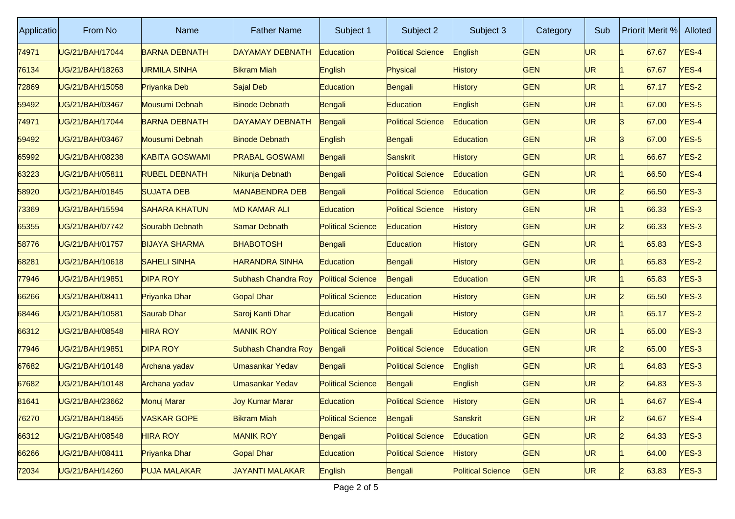| Applicatio | From No         | Name                  | <b>Father Name</b>     | Subject 1                | Subject 2                | Subject 3                | Category   | Sub       |              | Priorit Merit % | Alloted      |
|------------|-----------------|-----------------------|------------------------|--------------------------|--------------------------|--------------------------|------------|-----------|--------------|-----------------|--------------|
| 74971      | UG/21/BAH/17044 | <b>BARNA DEBNATH</b>  | DAYAMAY DEBNATH        | Education                | <b>Political Science</b> | English                  | <b>GEN</b> | <b>UR</b> |              | 67.67           | $VES-4$      |
| 76134      | UG/21/BAH/18263 | URMILA SINHA          | <b>Bikram Miah</b>     | English                  | Physical                 | History                  | <b>GEN</b> | UR        |              | 67.67           | YES-4        |
| 72869      | UG/21/BAH/15058 | Priyanka Deb          | Sajal Deb              | Education                | Bengali                  | <b>History</b>           | <b>GEN</b> | UR        |              | 67.17           | $VES-2$      |
| 59492      | UG/21/BAH/03467 | Mousumi Debnah        | <b>Binode Debnath</b>  | Bengali                  | <b>Education</b>         | English                  | <b>GEN</b> | UR.       |              | 67.00           | YES-5        |
| 74971      | UG/21/BAH/17044 | <b>BARNA DEBNATH</b>  | DAYAMAY DEBNATH        | Bengali                  | <b>Political Science</b> | Education                | <b>GEN</b> | UR        | ß            | 67.00           | YES-4        |
| 59492      | UG/21/BAH/03467 | Mousumi Debnah        | <b>Binode Debnath</b>  | English                  | Bengali                  | <b>Education</b>         | <b>GEN</b> | UR        |              | 67.00           | YES-5        |
| 65992      | UG/21/BAH/08238 | <b>KABITA GOSWAMI</b> | <b>PRABAL GOSWAMI</b>  | Bengali                  | Sanskrit                 | <b>History</b>           | <b>GEN</b> | UR.       |              | 66.67           | <b>YES-2</b> |
| 63223      | UG/21/BAH/05811 | <b>RUBEL DEBNATH</b>  | Nikunja Debnath        | Bengali                  | <b>Political Science</b> | Education                | <b>GEN</b> | UR        |              | 66.50           | YES-4        |
| 58920      | UG/21/BAH/01845 | <b>SUJATA DEB</b>     | <b>MANABENDRA DEB</b>  | Bengali                  | <b>Political Science</b> | Education                | <b>GEN</b> | UR.       | D            | 66.50           | YES-3        |
| 73369      | UG/21/BAH/15594 | <b>SAHARA KHATUN</b>  | <b>MD KAMAR ALI</b>    | Education                | <b>Political Science</b> | <b>History</b>           | <b>GEN</b> | UR.       |              | 66.33           | YES-3        |
| 65355      | UG/21/BAH/07742 | Sourabh Debnath       | Samar Debnath          | <b>Political Science</b> | Education                | History                  | <b>GEN</b> | UR.       | 12           | 66.33           | $NES-3$      |
| 58776      | UG/21/BAH/01757 | <b>BIJAYA SHARMA</b>  | <b>BHABOTOSH</b>       | Bengali                  | Education                | History                  | <b>GEN</b> | UR        |              | 65.83           | YES-3        |
| 68281      | UG/21/BAH/10618 | <b>SAHELI SINHA</b>   | HARANDRA SINHA         | Education                | Bengali                  | <b>History</b>           | <b>GEN</b> | UR.       |              | 65.83           | YES-2        |
| 77946      | UG/21/BAH/19851 | <b>DIPA ROY</b>       | Subhash Chandra Roy    | <b>Political Science</b> | Bengali                  | Education                | <b>GEN</b> | UR        |              | 65.83           | $NES-3$      |
| 66266      | UG/21/BAH/08411 | Priyanka Dhar         | <b>Gopal Dhar</b>      | <b>Political Science</b> | Education                | History                  | <b>GEN</b> | UR.       | D            | 65.50           | $VES-3$      |
| 68446      | UG/21/BAH/10581 | Saurab Dhar           | Saroj Kanti Dhar       | Education                | Bengali                  | <b>History</b>           | <b>GEN</b> | UR.       |              | 65.17           | $YES-2$      |
| 66312      | UG/21/BAH/08548 | <b>HIRA ROY</b>       | <b>MANIK ROY</b>       | <b>Political Science</b> | Bengali                  | Education                | <b>GEN</b> | UR        |              | 65.00           | $NES-3$      |
| 77946      | UG/21/BAH/19851 | <b>DIPA ROY</b>       | Subhash Chandra Roy    | Bengali                  | <b>Political Science</b> | Education                | <b>GEN</b> | UR.       | D            | 65.00           | $VES-3$      |
| 67682      | UG/21/BAH/10148 | Archana yadav         | <b>Jmasankar Yedav</b> | Bengali                  | <b>Political Science</b> | English                  | <b>GEN</b> | UR.       |              | 64.83           | YES-3        |
| 67682      | UG/21/BAH/10148 | Archana yadav         | Jmasankar Yedav        | <b>Political Science</b> | Bengali                  | English                  | <b>GEN</b> | UR        | 12           | 64.83           | $NES-3$      |
| 81641      | UG/21/BAH/23662 | <b>Monuj Marar</b>    | <b>Joy Kumar Marar</b> | Education                | <b>Political Science</b> | <b>History</b>           | <b>GEN</b> | <b>UR</b> |              | 64.67           | YES-4        |
| 76270      | UG/21/BAH/18455 | <b>VASKAR GOPE</b>    | <b>Bikram Miah</b>     | <b>Political Science</b> | Bengali                  | Sanskrit                 | <b>GEN</b> | UR.       | $\mathsf{P}$ | 64.67           | $YES-4$      |
| 66312      | UG/21/BAH/08548 | <b>HIRA ROY</b>       | <b>MANIK ROY</b>       | Bengali                  | <b>Political Science</b> | Education                | <b>GEN</b> | UR.       | 2            | 64.33           | $VES-3$      |
| 66266      | UG/21/BAH/08411 | Priyanka Dhar         | Gopal Dhar             | <b>Education</b>         | <b>Political Science</b> | History                  | <b>GEN</b> | UR.       |              | 64.00           | $VES-3$      |
| 72034      | UG/21/BAH/14260 | <b>PUJA MALAKAR</b>   | <b>JAYANTI MALAKAR</b> | English                  | Bengali                  | <b>Political Science</b> | <b>GEN</b> | UR        | 2            | 63.83           | YES-3        |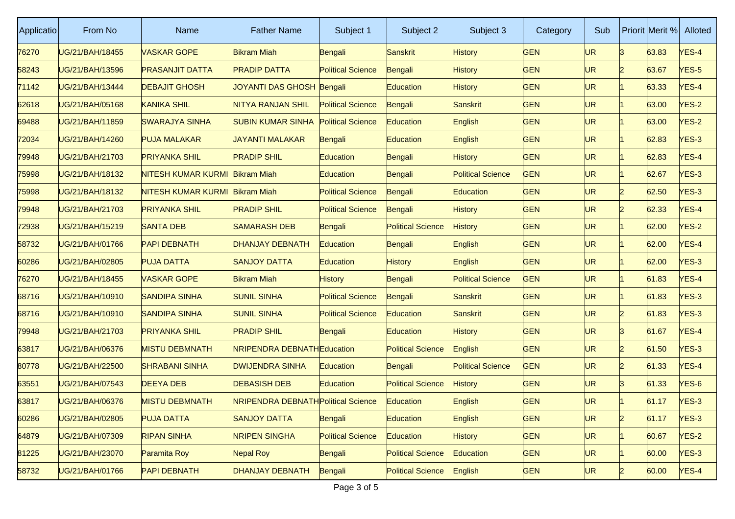| Applicatio | From No         | Name                   | <b>Father Name</b>                         | Subject 1                | Subject 2                | Subject 3                | Category   | Sub       |                | Priorit Merit % | Alloted      |
|------------|-----------------|------------------------|--------------------------------------------|--------------------------|--------------------------|--------------------------|------------|-----------|----------------|-----------------|--------------|
| 76270      | UG/21/BAH/18455 | <b>VASKAR GOPE</b>     | <b>Bikram Miah</b>                         | Bengali                  | Sanskrit                 | <b>History</b>           | <b>GEN</b> | <b>UR</b> | ß              | 63.83           | YES-4        |
| 58243      | UG/21/BAH/13596 | <b>PRASANJIT DATTA</b> | <b>PRADIP DATTA</b>                        | <b>Political Science</b> | Bengali                  | <b>History</b>           | <b>GEN</b> | UR        | D              | 63.67           | $NES-5$      |
| 71142      | JG/21/BAH/13444 | <b>DEBAJIT GHOSH</b>   | JOYANTI DAS GHOSH Bengali                  |                          | Education                | <b>History</b>           | <b>GEN</b> | UR        |                | 63.33           | YES-4        |
| 62618      | UG/21/BAH/05168 | <b>KANIKA SHIL</b>     | <b>NITYA RANJAN SHIL</b>                   | <b>Political Science</b> | Bengali                  | Sanskrit                 | <b>GEN</b> | UR        |                | 63.00           | $VES-2$      |
| 69488      | UG/21/BAH/11859 | <b>SWARAJYA SINHA</b>  | <b>SUBIN KUMAR SINHA</b>                   | <b>Political Science</b> | Education                | English                  | <b>GEN</b> | UR.       |                | 63.00           | $NES-2$      |
| 72034      | UG/21/BAH/14260 | <b>PUJA MALAKAR</b>    | <b>JAYANTI MALAKAR</b>                     | Bengali                  | Education                | English                  | <b>GEN</b> | UR        |                | 62.83           | $NES-3$      |
| 79948      | UG/21/BAH/21703 | <b>PRIYANKA SHIL</b>   | <b>PRADIP SHIL</b>                         | Education                | Bengali                  | <b>History</b>           | <b>GEN</b> | UR        |                | 62.83           | YES-4        |
| 75998      | UG/21/BAH/18132 | NITESH KUMAR KURMI     | <b>Bikram Miah</b>                         | Education                | Bengali                  | <b>Political Science</b> | <b>GEN</b> | UR        |                | 62.67           | $NES-3$      |
| 75998      | UG/21/BAH/18132 | NITESH KUMAR KURMI     | <b>Bikram Miah</b>                         | <b>Political Science</b> | Bengali                  | <b>Education</b>         | <b>GEN</b> | UR        |                | 62.50           | $NES-3$      |
| 79948      | UG/21/BAH/21703 | <b>PRIYANKA SHIL</b>   | <b>PRADIP SHIL</b>                         | <b>Political Science</b> | Bengali                  | <b>History</b>           | <b>GEN</b> | UR.       | 12             | 62.33           | YES-4        |
| 72938      | UG/21/BAH/15219 | SANTA DEB              | <b>SAMARASH DEB</b>                        | Bengali                  | <b>Political Science</b> | <b>History</b>           | <b>GEN</b> | UR        |                | 62.00           | $NES-2$      |
| 58732      | JG/21/BAH/01766 | <b>PAPI DEBNATH</b>    | <b>DHANJAY DEBNATH</b>                     | Education                | Bengali                  | English                  | <b>GEN</b> | UR        |                | 62.00           | YES-4        |
| 60286      | UG/21/BAH/02805 | <b>PUJA DATTA</b>      | <b>SANJOY DATTA</b>                        | Education                | <b>History</b>           | English                  | <b>GEN</b> | UR        |                | 62.00           | $VES-3$      |
| 76270      | UG/21/BAH/18455 | VASKAR GOPE            | <b>Bikram Miah</b>                         | History                  | Bengali                  | <b>Political Science</b> | <b>GEN</b> | UR        |                | 61.83           | <b>YES-4</b> |
| 68716      | UG/21/BAH/10910 | <b>SANDIPA SINHA</b>   | <b>SUNIL SINHA</b>                         | <b>Political Science</b> | Bengali                  | Sanskrit                 | <b>GEN</b> | UR        |                | 61.83           | $NES-3$      |
| 68716      | UG/21/BAH/10910 | <b>SANDIPA SINHA</b>   | <b>SUNIL SINHA</b>                         | <b>Political Science</b> | Education                | Sanskrit                 | <b>GEN</b> | UR.       | D              | 61.83           | $NES-3$      |
| 79948      | UG/21/BAH/21703 | <b>PRIYANKA SHIL</b>   | <b>PRADIP SHIL</b>                         | Bengali                  | Education                | History                  | <b>GEN</b> | UR.       | ß              | 61.67           | <b>YES-4</b> |
| 63817      | UG/21/BAH/06376 | <b>MISTU DEBMNATH</b>  | <b>NRIPENDRA DEBNATHEducation</b>          |                          | <b>Political Science</b> | English                  | <b>GEN</b> | UR        |                | 61.50           | YES-3        |
| 80778      | UG/21/BAH/22500 | <b>SHRABANI SINHA</b>  | <b>DWIJENDRA SINHA</b>                     | Education                | Bengali                  | <b>Political Science</b> | <b>GEN</b> | UR.       |                | 61.33           | YES-4        |
| 63551      | UG/21/BAH/07543 | <b>DEEYA DEB</b>       | <b>DEBASISH DEB</b>                        | Education                | <b>Political Science</b> | <b>History</b>           | <b>GEN</b> | UR        | R              | 61.33           | $NES-6$      |
| 63817      | UG/21/BAH/06376 | <b>MISTU DEBMNATH</b>  | <b>NRIPENDRA DEBNATH Political Science</b> |                          | Education                | English                  | <b>GEN</b> | UR        |                | 61.17           | YES-3        |
| 60286      | UG/21/BAH/02805 | <b>PUJA DATTA</b>      | <b>SANJOY DATTA</b>                        | Bengali                  | Education                | English                  | <b>GEN</b> | UR.       | $\overline{2}$ | 61.17           | $YES-3$      |
| 64879      | UG/21/BAH/07309 | <b>RIPAN SINHA</b>     | <b>NRIPEN SINGHA</b>                       | <b>Political Science</b> | Education                | History                  | <b>GEN</b> | UR.       |                | 60.67           | $YES-2$      |
| 81225      | UG/21/BAH/23070 | Paramita Roy           | Nepal Roy                                  | Bengali                  | <b>Political Science</b> | <b>Education</b>         | <b>GEN</b> | UR.       |                | 60.00           | $YES-3$      |
| 58732      | UG/21/BAH/01766 | <b>PAPI DEBNATH</b>    | <b>DHANJAY DEBNATH</b>                     | Bengali                  | <b>Political Science</b> | English                  | <b>GEN</b> | UR        | 12             | 60.00           | $YES-4$      |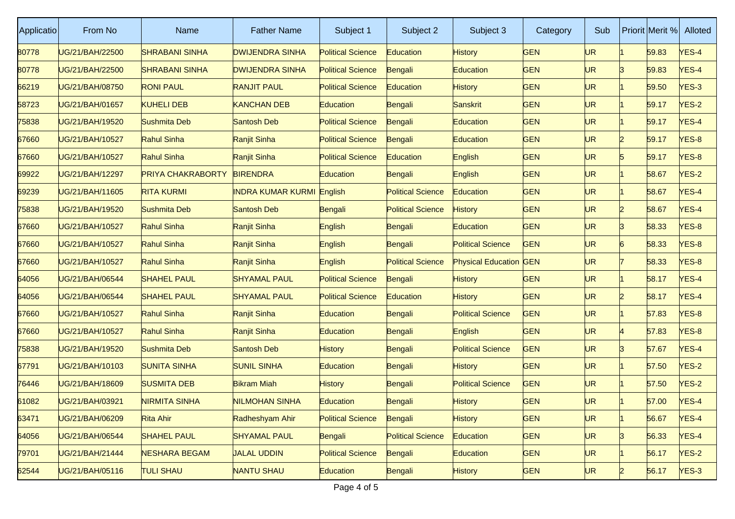| Applicatio | From No         | Name                     | <b>Father Name</b>     | Subject 1                | Subject 2                | Subject 3                     | Category   | Sub |              | Priorit Merit % | Alloted      |
|------------|-----------------|--------------------------|------------------------|--------------------------|--------------------------|-------------------------------|------------|-----|--------------|-----------------|--------------|
| 80778      | UG/21/BAH/22500 | <b>SHRABANI SINHA</b>    | <b>DWIJENDRA SINHA</b> | <b>Political Science</b> | Education                | <b>History</b>                | <b>GEN</b> | UR  |              | 59.83           | YES-4        |
| 80778      | JG/21/BAH/22500 | <b>SHRABANI SINHA</b>    | <b>DWIJENDRA SINHA</b> | <b>Political Science</b> | Bengali                  | Education                     | <b>GEN</b> | UR  | R            | 59.83           | <b>YES-4</b> |
| 66219      | JG/21/BAH/08750 | <b>RONI PAUL</b>         | <b>RANJIT PAUL</b>     | <b>Political Science</b> | Education                | <b>History</b>                | <b>GEN</b> | UR  |              | 59.50           | $NES-3$      |
| 58723      | UG/21/BAH/01657 | <b>KUHELI DEB</b>        | <b>KANCHAN DEB</b>     | Education                | Bengali                  | Sanskrit                      | <b>GEN</b> | UR  |              | 59.17           | $VES-2$      |
| 75838      | UG/21/BAH/19520 | Sushmita Deb             | Santosh Deb            | <b>Political Science</b> | Bengali                  | Education                     | <b>GEN</b> | UR. |              | 59.17           | <b>YES-4</b> |
| 67660      | UG/21/BAH/10527 | Rahul Sinha              | Ranjit Sinha           | <b>Political Science</b> | Bengali                  | Education                     | <b>GEN</b> | UR  |              | 59.17           | YES-8        |
| 67660      | UG/21/BAH/10527 | Rahul Sinha              | Ranjit Sinha           | <b>Political Science</b> | Education                | English                       | <b>GEN</b> | UR. |              | 59.17           | YES-8        |
| 69922      | UG/21/BAH/12297 | <b>PRIYA CHAKRABORTY</b> | <b>BIRENDRA</b>        | <b>Education</b>         | Bengali                  | English                       | <b>GEN</b> | UR  |              | 58.67           | $NES-2$      |
| 69239      | JG/21/BAH/11605 | <b>RITA KURMI</b>        | INDRA KUMAR KURMI      | English                  | <b>Political Science</b> | Education                     | <b>GEN</b> | UR  |              | 58.67           | YES-4        |
| 75838      | UG/21/BAH/19520 | Sushmita Deb             | Santosh Deb            | Bengali                  | <b>Political Science</b> | <b>History</b>                | <b>GEN</b> | UR  | 12           | 58.67           | YES-4        |
| 67660      | UG/21/BAH/10527 | Rahul Sinha              | Ranjit Sinha           | English                  | Bengali                  | <b>Education</b>              | <b>GEN</b> | UR  | ß            | 58.33           | <b>YES-8</b> |
| 67660      | JG/21/BAH/10527 | Rahul Sinha              | Ranjit Sinha           | English                  | Bengali                  | <b>Political Science</b>      | <b>GEN</b> | UR  |              | 58.33           | YES-8        |
| 67660      | UG/21/BAH/10527 | Rahul Sinha              | Ranjit Sinha           | English                  | <b>Political Science</b> | <b>Physical Education GEN</b> |            | UR. |              | 58.33           | YES-8        |
| 64056      | JG/21/BAH/06544 | <b>SHAHEL PAUL</b>       | <b>SHYAMAL PAUL</b>    | <b>Political Science</b> | Bengali                  | History                       | <b>GEN</b> | UR  |              | 58.17           | <b>YES-4</b> |
| 64056      | JG/21/BAH/06544 | <b>SHAHEL PAUL</b>       | <b>SHYAMAL PAUL</b>    | <b>Political Science</b> | Education                | <b>History</b>                | <b>GEN</b> | UR  |              | 58.17           | YES-4        |
| 67660      | UG/21/BAH/10527 | Rahul Sinha              | Ranjit Sinha           | Education                | Bengali                  | <b>Political Science</b>      | <b>GEN</b> | UR. |              | 57.83           | YES-8        |
| 67660      | UG/21/BAH/10527 | Rahul Sinha              | Ranjit Sinha           | Education                | Bengali                  | English                       | <b>GEN</b> | UR. |              | 57.83           | <b>YES-8</b> |
| 75838      | UG/21/BAH/19520 | Sushmita Deb             | Santosh Deb            | History                  | Bengali                  | <b>Political Science</b>      | <b>GEN</b> | UR  |              | 57.67           | YES-4        |
| 67791      | UG/21/BAH/10103 | <b>SUNITA SINHA</b>      | <b>SUNIL SINHA</b>     | Education                | Bengali                  | History                       | <b>GEN</b> | UR. |              | 57.50           | $YES-2$      |
| 76446      | UG/21/BAH/18609 | SUSMITA DEB              | <b>Bikram Miah</b>     | History                  | Bengali                  | <b>Political Science</b>      | <b>GEN</b> | UR  |              | 57.50           | $NES-2$      |
| 61082      | UG/21/BAH/03921 | <b>NIRMITA SINHA</b>     | <b>NILMOHAN SINHA</b>  | Education                | Bengali                  | <b>History</b>                | <b>GEN</b> | UR  |              | 57.00           | YES-4        |
| 63471      | UG/21/BAH/06209 | Rita Ahir                | Radheshyam Ahir        | <b>Political Science</b> | Bengali                  | <b>History</b>                | <b>GEN</b> | UR. |              | 56.67           | $YES-4$      |
| 64056      | UG/21/BAH/06544 | <b>SHAHEL PAUL</b>       | <b>SHYAMAL PAUL</b>    | Bengali                  | <b>Political Science</b> | Education                     | <b>GEN</b> | UR. | ß.           | 56.33           | YES-4        |
| 79701      | UG/21/BAH/21444 | <b>NESHARA BEGAM</b>     | <b>JALAL UDDIN</b>     | <b>Political Science</b> | Bengali                  | <b>Education</b>              | <b>GEN</b> | UR. |              | 56.17           | $YES-2$      |
| 62544      | UG/21/BAH/05116 | <b>TULI SHAU</b>         | <b>NANTU SHAU</b>      | <b>Education</b>         | Bengali                  | <b>History</b>                | <b>GEN</b> | UR. | $\mathsf{2}$ | 56.17           | $YES-3$      |